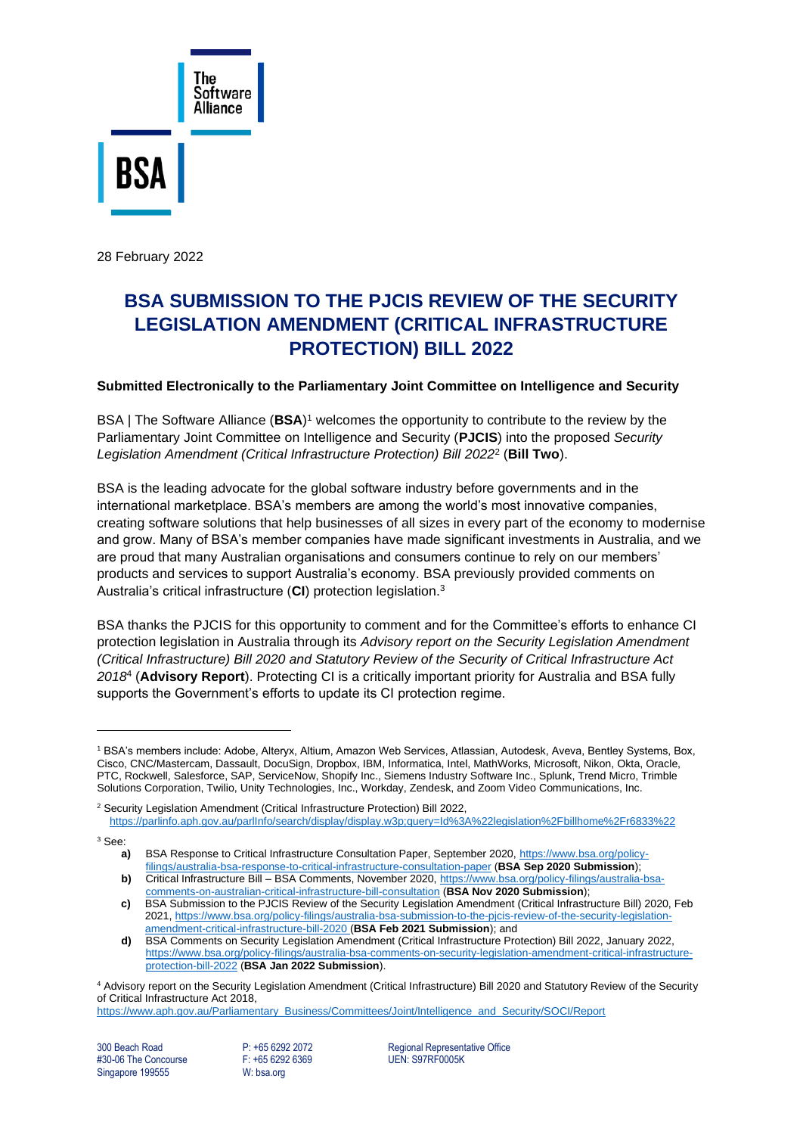

28 February 2022

# **BSA SUBMISSION TO THE PJCIS REVIEW OF THE SECURITY LEGISLATION AMENDMENT (CRITICAL INFRASTRUCTURE PROTECTION) BILL 2022**

#### **Submitted Electronically to the Parliamentary Joint Committee on Intelligence and Security**

BSA | The Software Alliance (**BSA**) <sup>1</sup> welcomes the opportunity to contribute to the review by the Parliamentary Joint Committee on Intelligence and Security (**PJCIS**) into the proposed *Security Legislation Amendment (Critical Infrastructure Protection) Bill 2022*<sup>2</sup> (**Bill Two**).

BSA is the leading advocate for the global software industry before governments and in the international marketplace. BSA's members are among the world's most innovative companies, creating software solutions that help businesses of all sizes in every part of the economy to modernise and grow. Many of BSA's member companies have made significant investments in Australia, and we are proud that many Australian organisations and consumers continue to rely on our members' products and services to support Australia's economy. BSA previously provided comments on Australia's critical infrastructure (**CI**) protection legislation. 3

BSA thanks the PJCIS for this opportunity to comment and for the Committee's efforts to enhance CI protection legislation in Australia through its *Advisory report on the Security Legislation Amendment (Critical Infrastructure) Bill 2020 and Statutory Review of the Security of Critical Infrastructure Act 2018* 4 (**Advisory Report**). Protecting CI is a critically important priority for Australia and BSA fully supports the Government's efforts to update its CI protection regime.

<sup>3</sup> See:

#30-06 The Concourse Singapore 199555 W: bsa.org

300 Beach Road **P: +65 6292 2072** Regional Representative Office<br>
#30-06 The Concourse **Prime Representative COS**<br>
P: +65 6292 6369 **Prime Representative COS** 

<sup>1</sup> BSA's members include: Adobe, Alteryx, Altium, Amazon Web Services, Atlassian, Autodesk, Aveva, Bentley Systems, Box, Cisco, CNC/Mastercam, Dassault, DocuSign, Dropbox, IBM, Informatica, Intel, MathWorks, Microsoft, Nikon, Okta, Oracle, PTC, Rockwell, Salesforce, SAP, ServiceNow, Shopify Inc., Siemens Industry Software Inc., Splunk, Trend Micro, Trimble Solutions Corporation, Twilio, Unity Technologies, Inc., Workday, Zendesk, and Zoom Video Communications, Inc.

<sup>&</sup>lt;sup>2</sup> Security Legislation Amendment (Critical Infrastructure Protection) Bill 2022, <https://parlinfo.aph.gov.au/parlInfo/search/display/display.w3p;query=Id%3A%22legislation%2Fbillhome%2Fr6833%22>

**a)** BSA Response to Critical Infrastructure Consultation Paper, September 2020[, https://www.bsa.org/policy](https://www.bsa.org/policy-filings/australia-bsa-response-to-critical-infrastructure-consultation-paper)[filings/australia-bsa-response-to-critical-infrastructure-consultation-paper](https://www.bsa.org/policy-filings/australia-bsa-response-to-critical-infrastructure-consultation-paper) (**BSA Sep 2020 Submission**); **b)** Critical Infrastructure Bill – BSA Comments, November 2020[, https://www.bsa.org/policy-filings/australia-bsa-](https://www.bsa.org/policy-filings/australia-bsa-comments-on-australian-critical-infrastructure-bill-consultation)

[comments-on-australian-critical-infrastructure-bill-consultation](https://www.bsa.org/policy-filings/australia-bsa-comments-on-australian-critical-infrastructure-bill-consultation) (**BSA Nov 2020 Submission**);

**c)** BSA Submission to the PJCIS Review of the Security Legislation Amendment (Critical Infrastructure Bill) 2020, Feb 2021, [https://www.bsa.org/policy-filings/australia-bsa-submission-to-the-pjcis-review-of-the-security-legislation](https://www.bsa.org/policy-filings/australia-bsa-submission-to-the-pjcis-review-of-the-security-legislation-amendment-critical-infrastructure-bill-2020)[amendment-critical-infrastructure-bill-2020](https://www.bsa.org/policy-filings/australia-bsa-submission-to-the-pjcis-review-of-the-security-legislation-amendment-critical-infrastructure-bill-2020) (**BSA Feb 2021 Submission**); and

**d)** BSA Comments on Security Legislation Amendment (Critical Infrastructure Protection) Bill 2022, January 2022, [https://www.bsa.org/policy-filings/australia-bsa-comments-on-security-legislation-amendment-critical-infrastructure](https://www.bsa.org/policy-filings/australia-bsa-comments-on-security-legislation-amendment-critical-infrastructure-protection-bill-2022)[protection-bill-2022](https://www.bsa.org/policy-filings/australia-bsa-comments-on-security-legislation-amendment-critical-infrastructure-protection-bill-2022) (**BSA Jan 2022 Submission**).

<sup>4</sup> Advisory report on the Security Legislation Amendment (Critical Infrastructure) Bill 2020 and Statutory Review of the Security of Critical Infrastructure Act 2018,

[https://www.aph.gov.au/Parliamentary\\_Business/Committees/Joint/Intelligence\\_and\\_Security/SOCI/Report](https://www.aph.gov.au/Parliamentary_Business/Committees/Joint/Intelligence_and_Security/SOCI/Report)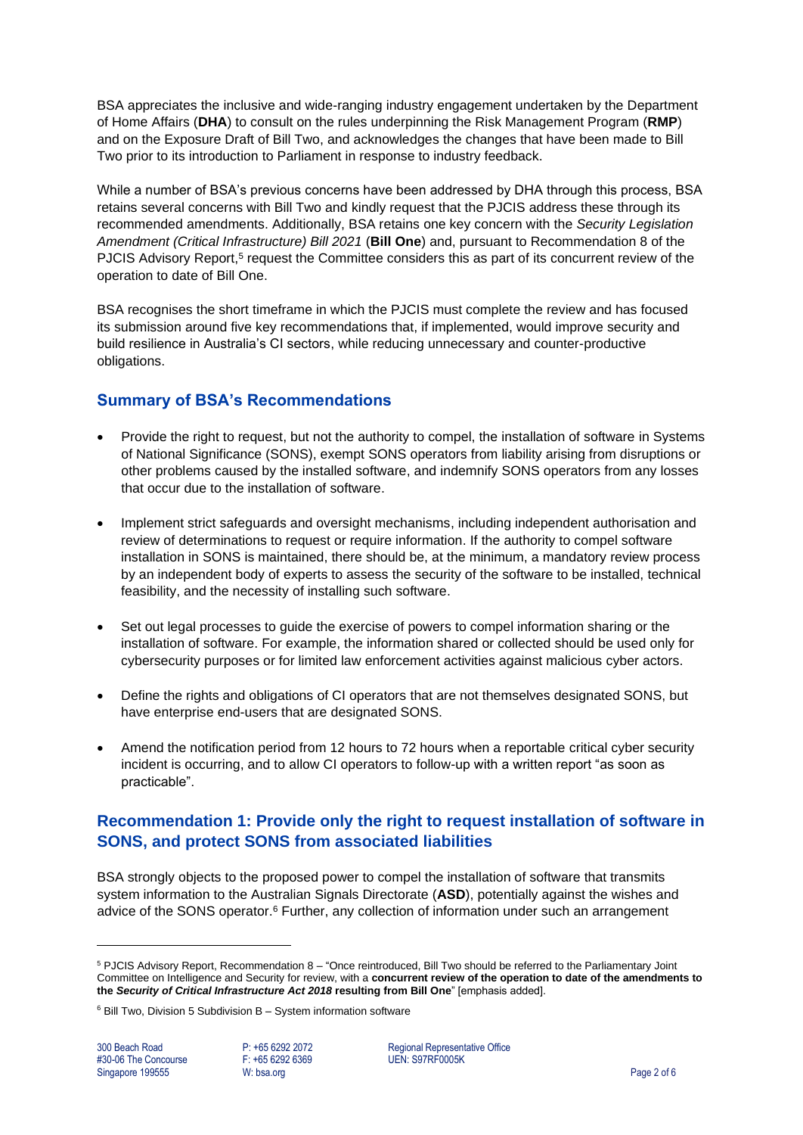BSA appreciates the inclusive and wide-ranging industry engagement undertaken by the Department of Home Affairs (**DHA**) to consult on the rules underpinning the Risk Management Program (**RMP**) and on the Exposure Draft of Bill Two, and acknowledges the changes that have been made to Bill Two prior to its introduction to Parliament in response to industry feedback.

While a number of BSA's previous concerns have been addressed by DHA through this process, BSA retains several concerns with Bill Two and kindly request that the PJCIS address these through its recommended amendments. Additionally, BSA retains one key concern with the *Security Legislation Amendment (Critical Infrastructure) Bill 2021* (**Bill One**) and, pursuant to Recommendation 8 of the PJCIS Advisory Report,<sup>5</sup> request the Committee considers this as part of its concurrent review of the operation to date of Bill One.

BSA recognises the short timeframe in which the PJCIS must complete the review and has focused its submission around five key recommendations that, if implemented, would improve security and build resilience in Australia's CI sectors, while reducing unnecessary and counter-productive obligations.

## **Summary of BSA's Recommendations**

- Provide the right to request, but not the authority to compel, the installation of software in Systems of National Significance (SONS), exempt SONS operators from liability arising from disruptions or other problems caused by the installed software, and indemnify SONS operators from any losses that occur due to the installation of software.
- Implement strict safeguards and oversight mechanisms, including independent authorisation and review of determinations to request or require information. If the authority to compel software installation in SONS is maintained, there should be, at the minimum, a mandatory review process by an independent body of experts to assess the security of the software to be installed, technical feasibility, and the necessity of installing such software.
- Set out legal processes to guide the exercise of powers to compel information sharing or the installation of software. For example, the information shared or collected should be used only for cybersecurity purposes or for limited law enforcement activities against malicious cyber actors.
- Define the rights and obligations of CI operators that are not themselves designated SONS, but have enterprise end-users that are designated SONS.
- Amend the notification period from 12 hours to 72 hours when a reportable critical cyber security incident is occurring, and to allow CI operators to follow-up with a written report "as soon as practicable".

## **Recommendation 1: Provide only the right to request installation of software in SONS, and protect SONS from associated liabilities**

BSA strongly objects to the proposed power to compel the installation of software that transmits system information to the Australian Signals Directorate (**ASD**), potentially against the wishes and advice of the SONS operator.<sup>6</sup> Further, any collection of information under such an arrangement

<sup>5</sup> PJCIS Advisory Report, Recommendation 8 – "Once reintroduced, Bill Two should be referred to the Parliamentary Joint Committee on Intelligence and Security for review, with a **concurrent review of the operation to date of the amendments to the** *Security of Critical Infrastructure Act 2018* **resulting from Bill One**" [emphasis added].

 $6$  Bill Two, Division 5 Subdivision B - System information software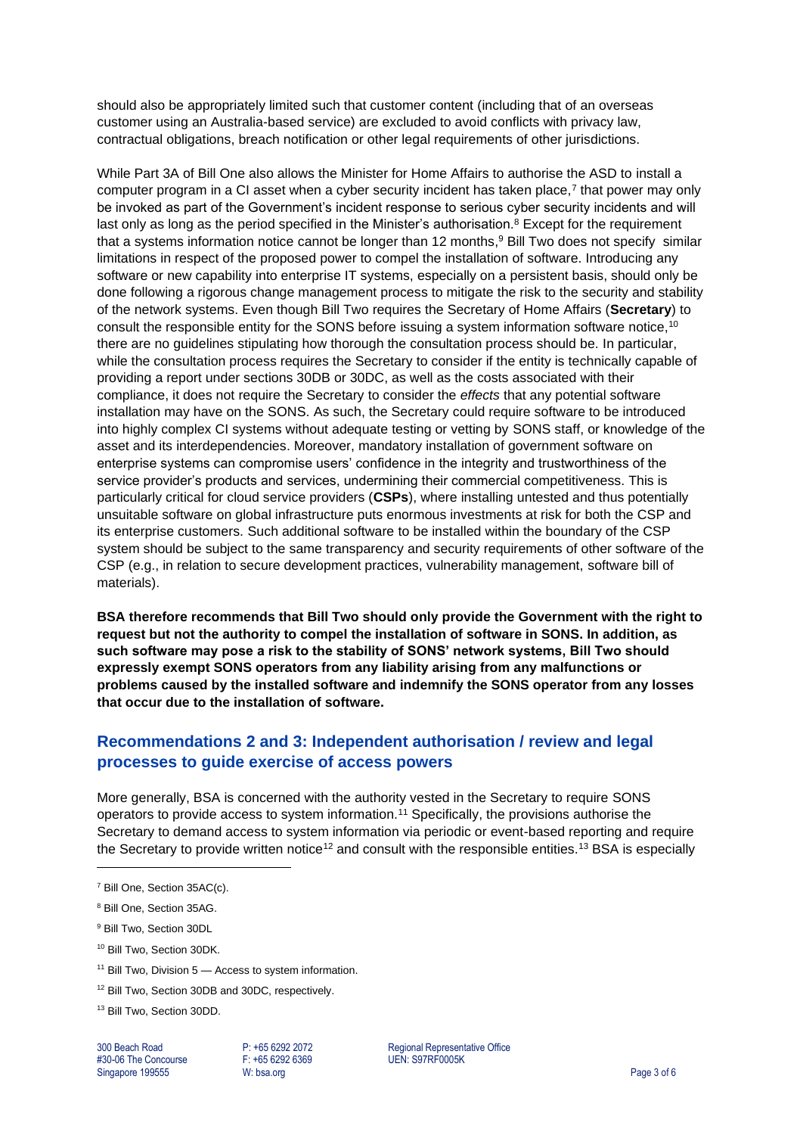should also be appropriately limited such that customer content (including that of an overseas customer using an Australia-based service) are excluded to avoid conflicts with privacy law, contractual obligations, breach notification or other legal requirements of other jurisdictions.

While Part 3A of Bill One also allows the Minister for Home Affairs to authorise the ASD to install a computer program in a CI asset when a cyber security incident has taken place,<sup>7</sup> that power may only be invoked as part of the Government's incident response to serious cyber security incidents and will last only as long as the period specified in the Minister's authorisation.<sup>8</sup> Except for the requirement that a systems information notice cannot be longer than 12 months, <sup>9</sup> Bill Two does not specify similar limitations in respect of the proposed power to compel the installation of software. Introducing any software or new capability into enterprise IT systems, especially on a persistent basis, should only be done following a rigorous change management process to mitigate the risk to the security and stability of the network systems. Even though Bill Two requires the Secretary of Home Affairs (**Secretary**) to consult the responsible entity for the SONS before issuing a system information software notice,<sup>10</sup> there are no guidelines stipulating how thorough the consultation process should be. In particular, while the consultation process requires the Secretary to consider if the entity is technically capable of providing a report under sections 30DB or 30DC, as well as the costs associated with their compliance, it does not require the Secretary to consider the *effects* that any potential software installation may have on the SONS. As such, the Secretary could require software to be introduced into highly complex CI systems without adequate testing or vetting by SONS staff, or knowledge of the asset and its interdependencies. Moreover, mandatory installation of government software on enterprise systems can compromise users' confidence in the integrity and trustworthiness of the service provider's products and services, undermining their commercial competitiveness. This is particularly critical for cloud service providers (**CSPs**), where installing untested and thus potentially unsuitable software on global infrastructure puts enormous investments at risk for both the CSP and its enterprise customers. Such additional software to be installed within the boundary of the CSP system should be subject to the same transparency and security requirements of other software of the CSP (e.g., in relation to secure development practices, vulnerability management, software bill of materials).

**BSA therefore recommends that Bill Two should only provide the Government with the right to request but not the authority to compel the installation of software in SONS. In addition, as such software may pose a risk to the stability of SONS' network systems, Bill Two should expressly exempt SONS operators from any liability arising from any malfunctions or problems caused by the installed software and indemnify the SONS operator from any losses that occur due to the installation of software.** 

# **Recommendations 2 and 3: Independent authorisation / review and legal processes to guide exercise of access powers**

More generally, BSA is concerned with the authority vested in the Secretary to require SONS operators to provide access to system information.<sup>11</sup> Specifically, the provisions authorise the Secretary to demand access to system information via periodic or event-based reporting and require the Secretary to provide written notice<sup>12</sup> and consult with the responsible entities.<sup>13</sup> BSA is especially

- $11$  Bill Two, Division 5  $-$  Access to system information.
- <sup>12</sup> Bill Two, Section 30DB and 30DC, respectively.
- <sup>13</sup> Bill Two, Section 30DD.

#30-06 The Concourse Singapore 199555 W: bsa.org Page 3 of 6

300 Beach Road **P: +65 6292 2072** Regional Representative Office<br>
#30-06 The Concourse **Prime Representative COS**<br>
P: +65 6292 6369 **Prime Representative COS** 

<sup>7</sup> Bill One, Section 35AC(c).

<sup>8</sup> Bill One, Section 35AG.

<sup>9</sup> Bill Two, Section 30DL

<sup>10</sup> Bill Two, Section 30DK.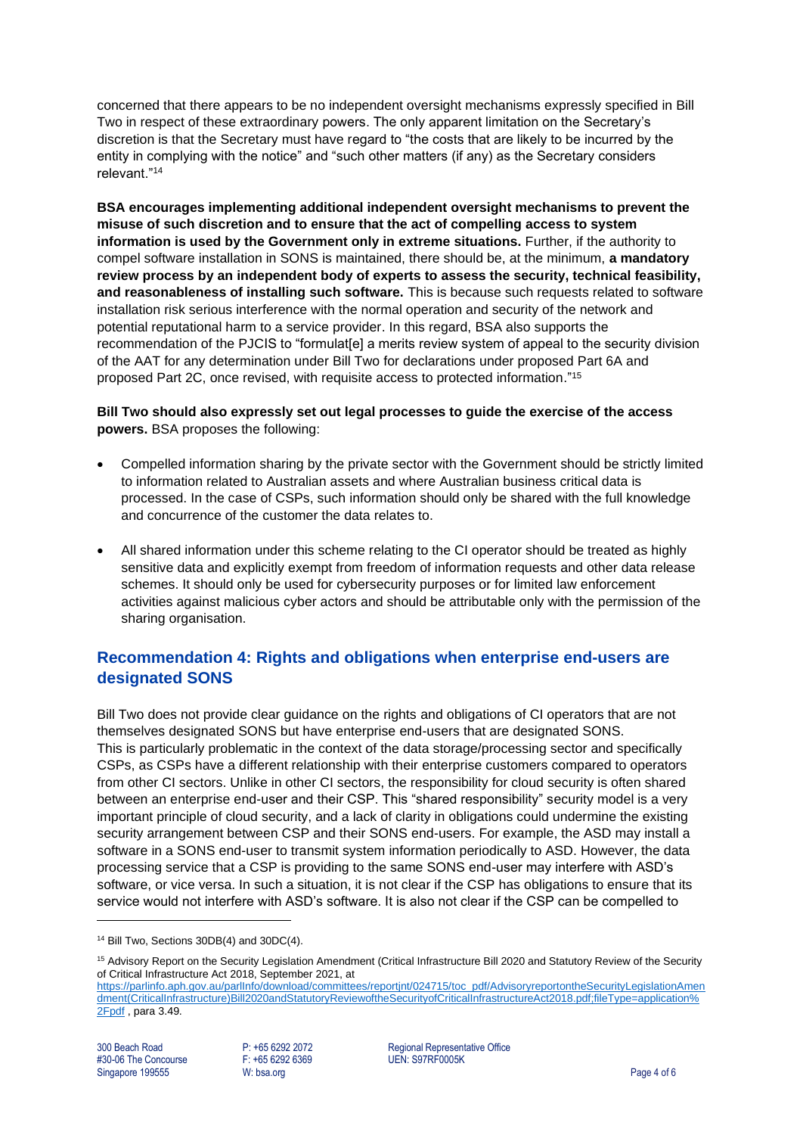concerned that there appears to be no independent oversight mechanisms expressly specified in Bill Two in respect of these extraordinary powers. The only apparent limitation on the Secretary's discretion is that the Secretary must have regard to "the costs that are likely to be incurred by the entity in complying with the notice" and "such other matters (if any) as the Secretary considers relevant."<sup>14</sup>

**BSA encourages implementing additional independent oversight mechanisms to prevent the misuse of such discretion and to ensure that the act of compelling access to system information is used by the Government only in extreme situations.** Further, if the authority to compel software installation in SONS is maintained, there should be, at the minimum, **a mandatory review process by an independent body of experts to assess the security, technical feasibility, and reasonableness of installing such software.** This is because such requests related to software installation risk serious interference with the normal operation and security of the network and potential reputational harm to a service provider. In this regard, BSA also supports the recommendation of the PJCIS to "formulat[e] a merits review system of appeal to the security division of the AAT for any determination under Bill Two for declarations under proposed Part 6A and proposed Part 2C, once revised, with requisite access to protected information." 15

**Bill Two should also expressly set out legal processes to guide the exercise of the access powers.** BSA proposes the following:

- Compelled information sharing by the private sector with the Government should be strictly limited to information related to Australian assets and where Australian business critical data is processed. In the case of CSPs, such information should only be shared with the full knowledge and concurrence of the customer the data relates to.
- All shared information under this scheme relating to the CI operator should be treated as highly sensitive data and explicitly exempt from freedom of information requests and other data release schemes. It should only be used for cybersecurity purposes or for limited law enforcement activities against malicious cyber actors and should be attributable only with the permission of the sharing organisation.

# **Recommendation 4: Rights and obligations when enterprise end-users are designated SONS**

Bill Two does not provide clear guidance on the rights and obligations of CI operators that are not themselves designated SONS but have enterprise end-users that are designated SONS. This is particularly problematic in the context of the data storage/processing sector and specifically CSPs, as CSPs have a different relationship with their enterprise customers compared to operators from other CI sectors. Unlike in other CI sectors, the responsibility for cloud security is often shared between an enterprise end-user and their CSP. This "shared responsibility" security model is a very important principle of cloud security, and a lack of clarity in obligations could undermine the existing security arrangement between CSP and their SONS end-users. For example, the ASD may install a software in a SONS end-user to transmit system information periodically to ASD. However, the data processing service that a CSP is providing to the same SONS end-user may interfere with ASD's software, or vice versa. In such a situation, it is not clear if the CSP has obligations to ensure that its service would not interfere with ASD's software. It is also not clear if the CSP can be compelled to

300 Beach Road **P: +65 6292 2072** Regional Representative Office #30-06 The Concourse **Property** F: +65 6292 6369 **Property** UEN: S97RF0005K

<sup>&</sup>lt;sup>14</sup> Bill Two, Sections 30DB(4) and 30DC(4).

<sup>&</sup>lt;sup>15</sup> Advisory Report on the Security Legislation Amendment (Critical Infrastructure Bill 2020 and Statutory Review of the Security of Critical Infrastructure Act 2018, September 2021, at

[https://parlinfo.aph.gov.au/parlInfo/download/committees/reportjnt/024715/toc\\_pdf/AdvisoryreportontheSecurityLegislationAmen](https://parlinfo.aph.gov.au/parlInfo/download/committees/reportjnt/024715/toc_pdf/AdvisoryreportontheSecurityLegislationAmendment(CriticalInfrastructure)Bill2020andStatutoryReviewoftheSecurityofCriticalInfrastructureAct2018.pdf;fileType=application%2Fpdf) [dment\(CriticalInfrastructure\)Bill2020andStatutoryReviewoftheSecurityofCriticalInfrastructureAct2018.pdf;fileType=application%](https://parlinfo.aph.gov.au/parlInfo/download/committees/reportjnt/024715/toc_pdf/AdvisoryreportontheSecurityLegislationAmendment(CriticalInfrastructure)Bill2020andStatutoryReviewoftheSecurityofCriticalInfrastructureAct2018.pdf;fileType=application%2Fpdf) [2Fpdf](https://parlinfo.aph.gov.au/parlInfo/download/committees/reportjnt/024715/toc_pdf/AdvisoryreportontheSecurityLegislationAmendment(CriticalInfrastructure)Bill2020andStatutoryReviewoftheSecurityofCriticalInfrastructureAct2018.pdf;fileType=application%2Fpdf) , para 3.49.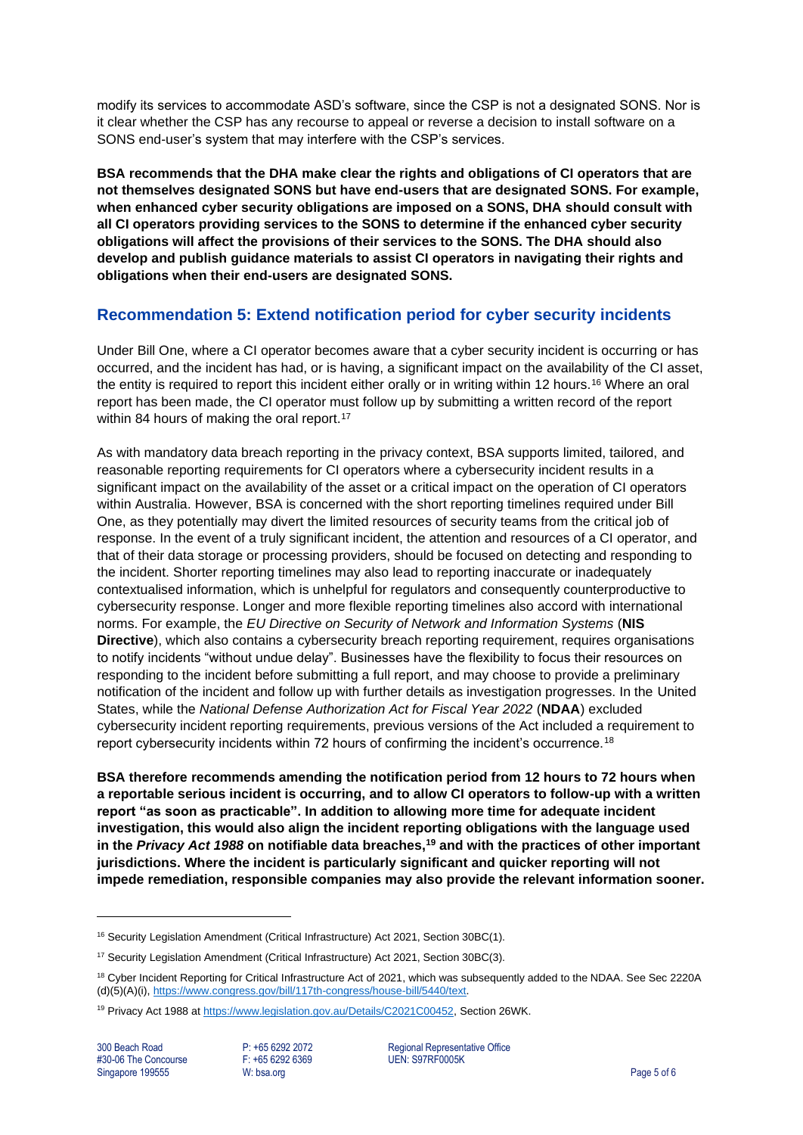modify its services to accommodate ASD's software, since the CSP is not a designated SONS. Nor is it clear whether the CSP has any recourse to appeal or reverse a decision to install software on a SONS end-user's system that may interfere with the CSP's services.

**BSA recommends that the DHA make clear the rights and obligations of CI operators that are not themselves designated SONS but have end-users that are designated SONS. For example, when enhanced cyber security obligations are imposed on a SONS, DHA should consult with all CI operators providing services to the SONS to determine if the enhanced cyber security obligations will affect the provisions of their services to the SONS. The DHA should also develop and publish guidance materials to assist CI operators in navigating their rights and obligations when their end-users are designated SONS.** 

## **Recommendation 5: Extend notification period for cyber security incidents**

Under Bill One, where a CI operator becomes aware that a cyber security incident is occurring or has occurred, and the incident has had, or is having, a significant impact on the availability of the CI asset, the entity is required to report this incident either orally or in writing within 12 hours.<sup>16</sup> Where an oral report has been made, the CI operator must follow up by submitting a written record of the report within 84 hours of making the oral report.<sup>17</sup>

As with mandatory data breach reporting in the privacy context, BSA supports limited, tailored, and reasonable reporting requirements for CI operators where a cybersecurity incident results in a significant impact on the availability of the asset or a critical impact on the operation of CI operators within Australia. However, BSA is concerned with the short reporting timelines required under Bill One, as they potentially may divert the limited resources of security teams from the critical job of response. In the event of a truly significant incident, the attention and resources of a CI operator, and that of their data storage or processing providers, should be focused on detecting and responding to the incident. Shorter reporting timelines may also lead to reporting inaccurate or inadequately contextualised information, which is unhelpful for regulators and consequently counterproductive to cybersecurity response. Longer and more flexible reporting timelines also accord with international norms. For example, the *EU Directive on Security of Network and Information Systems* (**NIS Directive**), which also contains a cybersecurity breach reporting requirement, requires organisations to notify incidents "without undue delay". Businesses have the flexibility to focus their resources on responding to the incident before submitting a full report, and may choose to provide a preliminary notification of the incident and follow up with further details as investigation progresses. In the United States, while the *National Defense Authorization Act for Fiscal Year 2022* (**NDAA**) excluded cybersecurity incident reporting requirements, previous versions of the Act included a requirement to report cybersecurity incidents within 72 hours of confirming the incident's occurrence.<sup>18</sup>

**BSA therefore recommends amending the notification period from 12 hours to 72 hours when a reportable serious incident is occurring, and to allow CI operators to follow-up with a written report "as soon as practicable". In addition to allowing more time for adequate incident investigation, this would also align the incident reporting obligations with the language used in the** *Privacy Act 1988* **on notifiable data breaches,<sup>19</sup> and with the practices of other important jurisdictions. Where the incident is particularly significant and quicker reporting will not impede remediation, responsible companies may also provide the relevant information sooner.** 

300 Beach Road **P: +65 6292 2072** Regional Representative Office #30-06 The Concourse **Property** F: +65 6292 6369 **Property** UEN: S97RF0005K

<sup>&</sup>lt;sup>16</sup> Security Legislation Amendment (Critical Infrastructure) Act 2021, Section 30BC(1).

<sup>&</sup>lt;sup>17</sup> Security Legislation Amendment (Critical Infrastructure) Act 2021, Section 30BC(3).

<sup>&</sup>lt;sup>18</sup> Cyber Incident Reporting for Critical Infrastructure Act of 2021, which was subsequently added to the NDAA. See Sec 2220A (d)(5)(A)(i), [https://www.congress.gov/bill/117th-congress/house-bill/5440/text.](https://www.congress.gov/bill/117th-congress/house-bill/5440/text)

<sup>&</sup>lt;sup>19</sup> Privacy Act 1988 at [https://www.legislation.gov.au/Details/C2021C00452,](https://www.legislation.gov.au/Details/C2021C00452) Section 26WK.